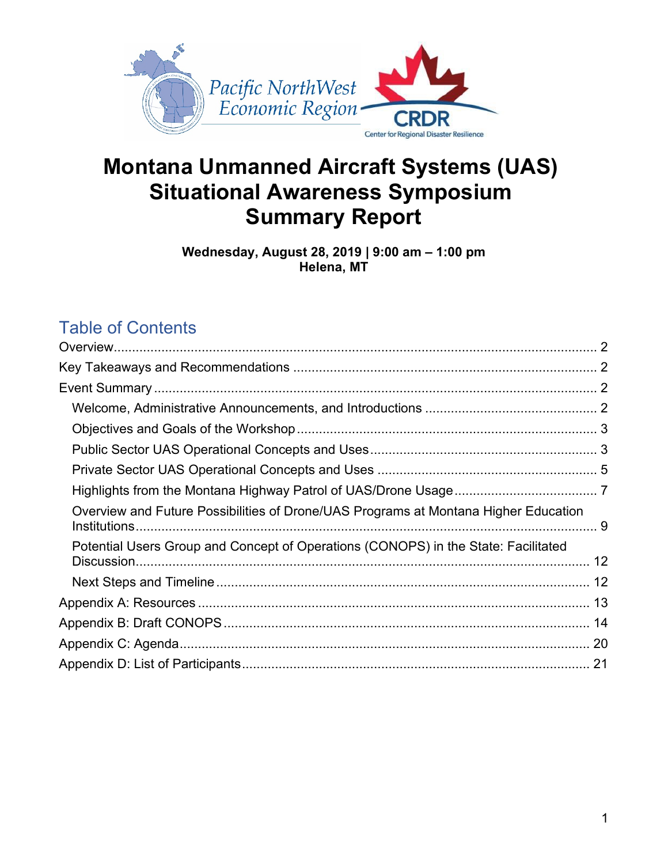

# **Montana Unmanned Aircraft Systems (UAS) Situational Awareness Symposium Summary Report**

**Wednesday, August 28, 2019 | 9:00 am – 1:00 pm Helena, MT**

# Table of Contents

| Overview and Future Possibilities of Drone/UAS Programs at Montana Higher Education |  |
|-------------------------------------------------------------------------------------|--|
| Potential Users Group and Concept of Operations (CONOPS) in the State: Facilitated  |  |
|                                                                                     |  |
|                                                                                     |  |
|                                                                                     |  |
|                                                                                     |  |
|                                                                                     |  |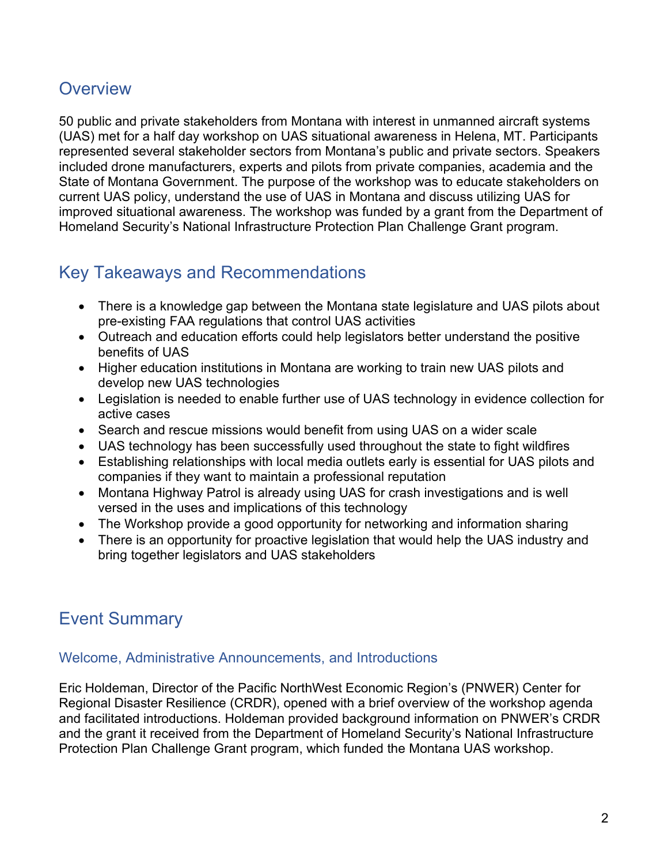# <span id="page-1-0"></span>**Overview**

50 public and private stakeholders from Montana with interest in unmanned aircraft systems (UAS) met for a half day workshop on UAS situational awareness in Helena, MT. Participants represented several stakeholder sectors from Montana's public and private sectors. Speakers included drone manufacturers, experts and pilots from private companies, academia and the State of Montana Government. The purpose of the workshop was to educate stakeholders on current UAS policy, understand the use of UAS in Montana and discuss utilizing UAS for improved situational awareness. The workshop was funded by a grant from the Department of Homeland Security's National Infrastructure Protection Plan Challenge Grant program.

# <span id="page-1-1"></span>Key Takeaways and Recommendations

- There is a knowledge gap between the Montana state legislature and UAS pilots about pre-existing FAA regulations that control UAS activities
- Outreach and education efforts could help legislators better understand the positive benefits of UAS
- Higher education institutions in Montana are working to train new UAS pilots and develop new UAS technologies
- Legislation is needed to enable further use of UAS technology in evidence collection for active cases
- Search and rescue missions would benefit from using UAS on a wider scale
- UAS technology has been successfully used throughout the state to fight wildfires
- Establishing relationships with local media outlets early is essential for UAS pilots and companies if they want to maintain a professional reputation
- Montana Highway Patrol is already using UAS for crash investigations and is well versed in the uses and implications of this technology
- The Workshop provide a good opportunity for networking and information sharing
- <span id="page-1-2"></span>• There is an opportunity for proactive legislation that would help the UAS industry and bring together legislators and UAS stakeholders

# Event Summary

#### <span id="page-1-3"></span>Welcome, Administrative Announcements, and Introductions

Eric Holdeman, Director of the Pacific NorthWest Economic Region's (PNWER) Center for Regional Disaster Resilience (CRDR), opened with a brief overview of the workshop agenda and facilitated introductions. Holdeman provided background information on PNWER's CRDR and the grant it received from the Department of Homeland Security's National Infrastructure Protection Plan Challenge Grant program, which funded the Montana UAS workshop.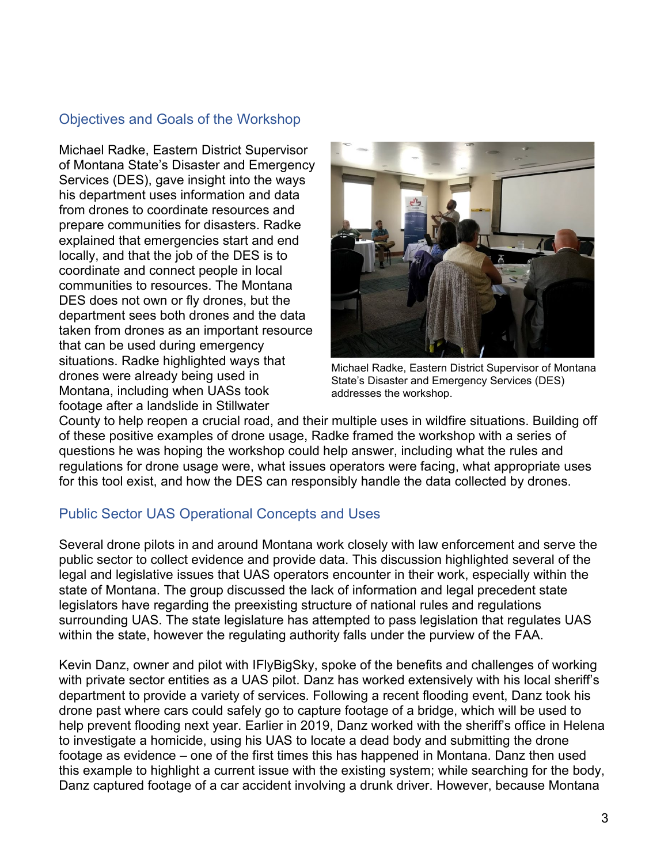# <span id="page-2-0"></span>Objectives and Goals of the Workshop

Michael Radke, Eastern District Supervisor of Montana State's Disaster and Emergency Services (DES), gave insight into the ways his department uses information and data from drones to coordinate resources and prepare communities for disasters. Radke explained that emergencies start and end locally, and that the job of the DES is to coordinate and connect people in local communities to resources. The Montana DES does not own or fly drones, but the department sees both drones and the data taken from drones as an important resource that can be used during emergency situations. Radke highlighted ways that drones were already being used in Montana, including when UASs took footage after a landslide in Stillwater



Michael Radke, Eastern District Supervisor of Montana State's Disaster and Emergency Services (DES) addresses the workshop.

County to help reopen a crucial road, and their multiple uses in wildfire situations. Building off of these positive examples of drone usage, Radke framed the workshop with a series of questions he was hoping the workshop could help answer, including what the rules and regulations for drone usage were, what issues operators were facing, what appropriate uses for this tool exist, and how the DES can responsibly handle the data collected by drones.

# <span id="page-2-1"></span>Public Sector UAS Operational Concepts and Uses

Several drone pilots in and around Montana work closely with law enforcement and serve the public sector to collect evidence and provide data. This discussion highlighted several of the legal and legislative issues that UAS operators encounter in their work, especially within the state of Montana. The group discussed the lack of information and legal precedent state legislators have regarding the preexisting structure of national rules and regulations surrounding UAS. The state legislature has attempted to pass legislation that regulates UAS within the state, however the regulating authority falls under the purview of the FAA.

Kevin Danz, owner and pilot with IFlyBigSky, spoke of the benefits and challenges of working with private sector entities as a UAS pilot. Danz has worked extensively with his local sheriff's department to provide a variety of services. Following a recent flooding event, Danz took his drone past where cars could safely go to capture footage of a bridge, which will be used to help prevent flooding next year. Earlier in 2019, Danz worked with the sheriff's office in Helena to investigate a homicide, using his UAS to locate a dead body and submitting the drone footage as evidence – one of the first times this has happened in Montana. Danz then used this example to highlight a current issue with the existing system; while searching for the body, Danz captured footage of a car accident involving a drunk driver. However, because Montana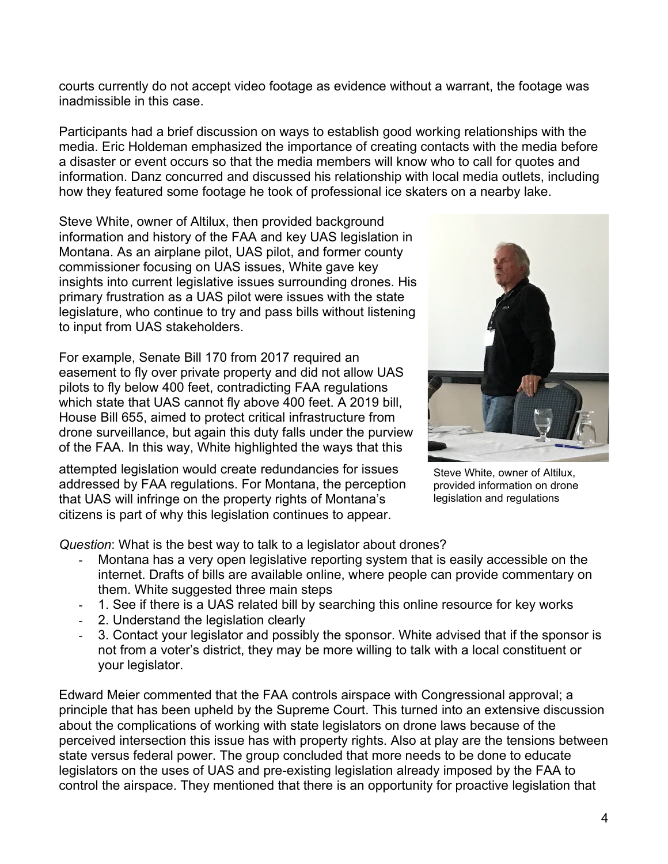courts currently do not accept video footage as evidence without a warrant, the footage was inadmissible in this case.

Participants had a brief discussion on ways to establish good working relationships with the media. Eric Holdeman emphasized the importance of creating contacts with the media before a disaster or event occurs so that the media members will know who to call for quotes and information. Danz concurred and discussed his relationship with local media outlets, including how they featured some footage he took of professional ice skaters on a nearby lake.

Steve White, owner of Altilux, then provided background information and history of the FAA and key UAS legislation in Montana. As an airplane pilot, UAS pilot, and former county commissioner focusing on UAS issues, White gave key insights into current legislative issues surrounding drones. His primary frustration as a UAS pilot were issues with the state legislature, who continue to try and pass bills without listening to input from UAS stakeholders.

For example, Senate Bill 170 from 2017 required an easement to fly over private property and did not allow UAS pilots to fly below 400 feet, contradicting FAA regulations which state that UAS cannot fly above 400 feet. A 2019 bill, House Bill 655, aimed to protect critical infrastructure from drone surveillance, but again this duty falls under the purview of the FAA. In this way, White highlighted the ways that this

attempted legislation would create redundancies for issues addressed by FAA regulations. For Montana, the perception that UAS will infringe on the property rights of Montana's citizens is part of why this legislation continues to appear.



Steve White, owner of Altilux, provided information on drone legislation and regulations

*Question*: What is the best way to talk to a legislator about drones?

- Montana has a very open legislative reporting system that is easily accessible on the internet. Drafts of bills are available online, where people can provide commentary on them. White suggested three main steps
- 1. See if there is a UAS related bill by searching this online resource for key works
- 2. Understand the legislation clearly
- 3. Contact your legislator and possibly the sponsor. White advised that if the sponsor is not from a voter's district, they may be more willing to talk with a local constituent or your legislator.

Edward Meier commented that the FAA controls airspace with Congressional approval; a principle that has been upheld by the Supreme Court. This turned into an extensive discussion about the complications of working with state legislators on drone laws because of the perceived intersection this issue has with property rights. Also at play are the tensions between state versus federal power. The group concluded that more needs to be done to educate legislators on the uses of UAS and pre-existing legislation already imposed by the FAA to control the airspace. They mentioned that there is an opportunity for proactive legislation that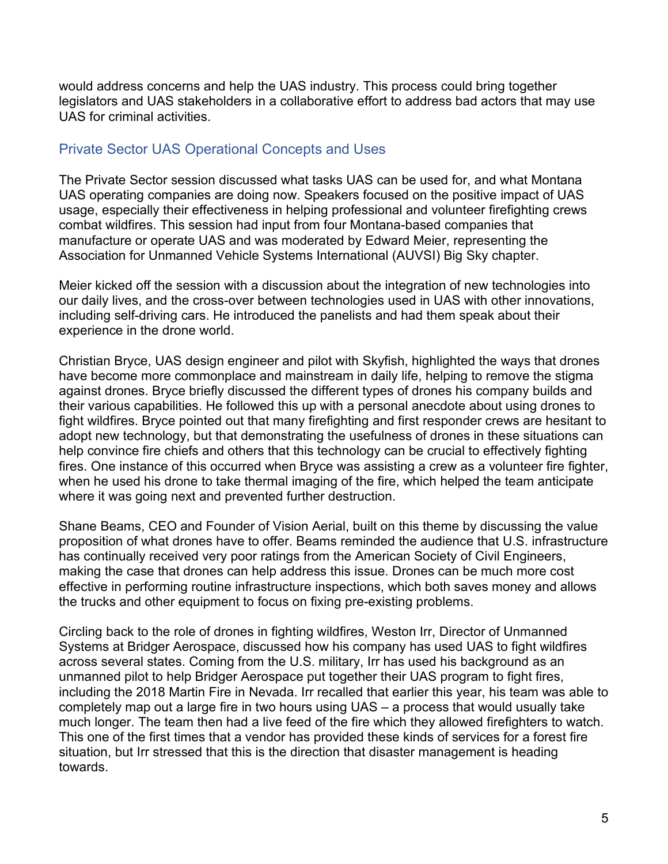would address concerns and help the UAS industry. This process could bring together legislators and UAS stakeholders in a collaborative effort to address bad actors that may use UAS for criminal activities.

# <span id="page-4-0"></span>Private Sector UAS Operational Concepts and Uses

The Private Sector session discussed what tasks UAS can be used for, and what Montana UAS operating companies are doing now. Speakers focused on the positive impact of UAS usage, especially their effectiveness in helping professional and volunteer firefighting crews combat wildfires. This session had input from four Montana-based companies that manufacture or operate UAS and was moderated by Edward Meier, representing the Association for Unmanned Vehicle Systems International (AUVSI) Big Sky chapter.

Meier kicked off the session with a discussion about the integration of new technologies into our daily lives, and the cross-over between technologies used in UAS with other innovations, including self-driving cars. He introduced the panelists and had them speak about their experience in the drone world.

Christian Bryce, UAS design engineer and pilot with Skyfish, highlighted the ways that drones have become more commonplace and mainstream in daily life, helping to remove the stigma against drones. Bryce briefly discussed the different types of drones his company builds and their various capabilities. He followed this up with a personal anecdote about using drones to fight wildfires. Bryce pointed out that many firefighting and first responder crews are hesitant to adopt new technology, but that demonstrating the usefulness of drones in these situations can help convince fire chiefs and others that this technology can be crucial to effectively fighting fires. One instance of this occurred when Bryce was assisting a crew as a volunteer fire fighter, when he used his drone to take thermal imaging of the fire, which helped the team anticipate where it was going next and prevented further destruction.

Shane Beams, CEO and Founder of Vision Aerial, built on this theme by discussing the value proposition of what drones have to offer. Beams reminded the audience that U.S. infrastructure has continually received very poor ratings from the American Society of Civil Engineers, making the case that drones can help address this issue. Drones can be much more cost effective in performing routine infrastructure inspections, which both saves money and allows the trucks and other equipment to focus on fixing pre-existing problems.

Circling back to the role of drones in fighting wildfires, Weston Irr, Director of Unmanned Systems at Bridger Aerospace, discussed how his company has used UAS to fight wildfires across several states. Coming from the U.S. military, Irr has used his background as an unmanned pilot to help Bridger Aerospace put together their UAS program to fight fires, including the 2018 Martin Fire in Nevada. Irr recalled that earlier this year, his team was able to completely map out a large fire in two hours using UAS – a process that would usually take much longer. The team then had a live feed of the fire which they allowed firefighters to watch. This one of the first times that a vendor has provided these kinds of services for a forest fire situation, but Irr stressed that this is the direction that disaster management is heading towards.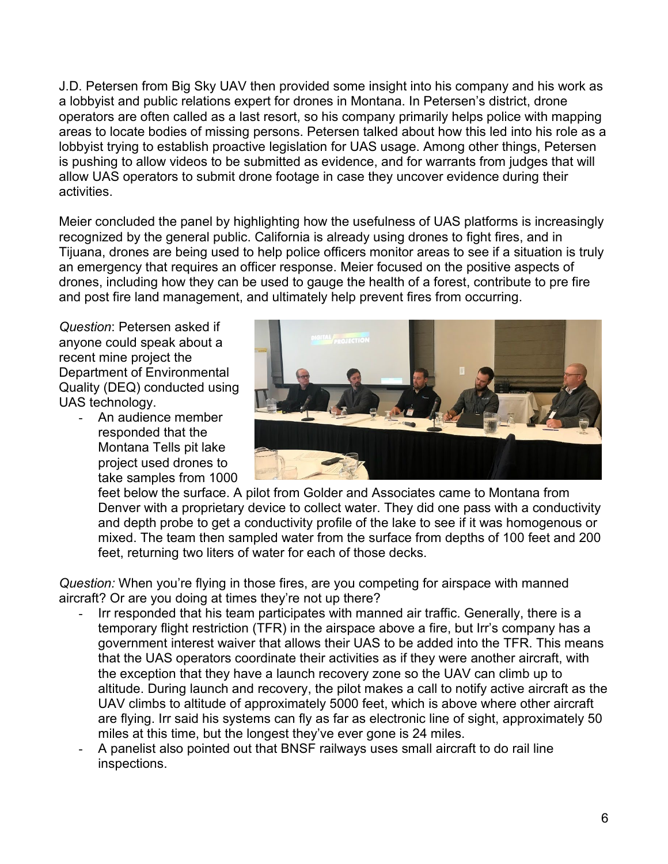J.D. Petersen from Big Sky UAV then provided some insight into his company and his work as a lobbyist and public relations expert for drones in Montana. In Petersen's district, drone operators are often called as a last resort, so his company primarily helps police with mapping areas to locate bodies of missing persons. Petersen talked about how this led into his role as a lobbyist trying to establish proactive legislation for UAS usage. Among other things, Petersen is pushing to allow videos to be submitted as evidence, and for warrants from judges that will allow UAS operators to submit drone footage in case they uncover evidence during their activities.

Meier concluded the panel by highlighting how the usefulness of UAS platforms is increasingly recognized by the general public. California is already using drones to fight fires, and in Tijuana, drones are being used to help police officers monitor areas to see if a situation is truly an emergency that requires an officer response. Meier focused on the positive aspects of drones, including how they can be used to gauge the health of a forest, contribute to pre fire and post fire land management, and ultimately help prevent fires from occurring.

*Question*: Petersen asked if anyone could speak about a recent mine project the Department of Environmental Quality (DEQ) conducted using UAS technology.

> - An audience member responded that the Montana Tells pit lake project used drones to take samples from 1000



feet below the surface. A pilot from Golder and Associates came to Montana from Denver with a proprietary device to collect water. They did one pass with a conductivity and depth probe to get a conductivity profile of the lake to see if it was homogenous or mixed. The team then sampled water from the surface from depths of 100 feet and 200 feet, returning two liters of water for each of those decks.

*Question:* When you're flying in those fires, are you competing for airspace with manned aircraft? Or are you doing at times they're not up there?

- Irr responded that his team participates with manned air traffic. Generally, there is a temporary flight restriction (TFR) in the airspace above a fire, but Irr's company has a government interest waiver that allows their UAS to be added into the TFR. This means that the UAS operators coordinate their activities as if they were another aircraft, with the exception that they have a launch recovery zone so the UAV can climb up to altitude. During launch and recovery, the pilot makes a call to notify active aircraft as the UAV climbs to altitude of approximately 5000 feet, which is above where other aircraft are flying. Irr said his systems can fly as far as electronic line of sight, approximately 50 miles at this time, but the longest they've ever gone is 24 miles.
- A panelist also pointed out that BNSF railways uses small aircraft to do rail line inspections.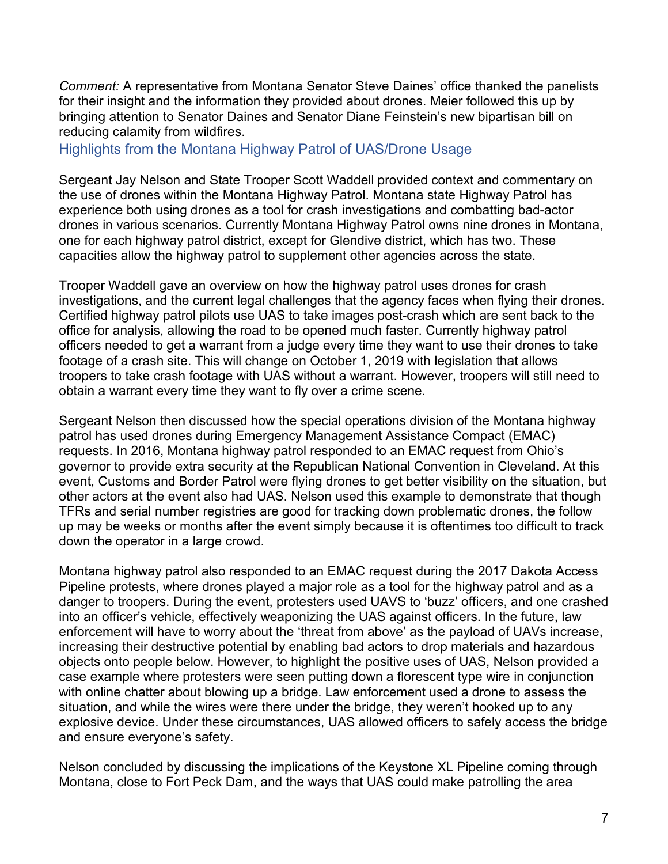*Comment:* A representative from Montana Senator Steve Daines' office thanked the panelists for their insight and the information they provided about drones. Meier followed this up by bringing attention to Senator Daines and Senator Diane Feinstein's new bipartisan bill on reducing calamity from wildfires.

<span id="page-6-0"></span>Highlights from the Montana Highway Patrol of UAS/Drone Usage

Sergeant Jay Nelson and State Trooper Scott Waddell provided context and commentary on the use of drones within the Montana Highway Patrol. Montana state Highway Patrol has experience both using drones as a tool for crash investigations and combatting bad-actor drones in various scenarios. Currently Montana Highway Patrol owns nine drones in Montana, one for each highway patrol district, except for Glendive district, which has two. These capacities allow the highway patrol to supplement other agencies across the state.

Trooper Waddell gave an overview on how the highway patrol uses drones for crash investigations, and the current legal challenges that the agency faces when flying their drones. Certified highway patrol pilots use UAS to take images post-crash which are sent back to the office for analysis, allowing the road to be opened much faster. Currently highway patrol officers needed to get a warrant from a judge every time they want to use their drones to take footage of a crash site. This will change on October 1, 2019 with legislation that allows troopers to take crash footage with UAS without a warrant. However, troopers will still need to obtain a warrant every time they want to fly over a crime scene.

Sergeant Nelson then discussed how the special operations division of the Montana highway patrol has used drones during Emergency Management Assistance Compact (EMAC) requests. In 2016, Montana highway patrol responded to an EMAC request from Ohio's governor to provide extra security at the Republican National Convention in Cleveland. At this event, Customs and Border Patrol were flying drones to get better visibility on the situation, but other actors at the event also had UAS. Nelson used this example to demonstrate that though TFRs and serial number registries are good for tracking down problematic drones, the follow up may be weeks or months after the event simply because it is oftentimes too difficult to track down the operator in a large crowd.

Montana highway patrol also responded to an EMAC request during the 2017 Dakota Access Pipeline protests, where drones played a major role as a tool for the highway patrol and as a danger to troopers. During the event, protesters used UAVS to 'buzz' officers, and one crashed into an officer's vehicle, effectively weaponizing the UAS against officers. In the future, law enforcement will have to worry about the 'threat from above' as the payload of UAVs increase, increasing their destructive potential by enabling bad actors to drop materials and hazardous objects onto people below. However, to highlight the positive uses of UAS, Nelson provided a case example where protesters were seen putting down a florescent type wire in conjunction with online chatter about blowing up a bridge. Law enforcement used a drone to assess the situation, and while the wires were there under the bridge, they weren't hooked up to any explosive device. Under these circumstances, UAS allowed officers to safely access the bridge and ensure everyone's safety.

Nelson concluded by discussing the implications of the Keystone XL Pipeline coming through Montana, close to Fort Peck Dam, and the ways that UAS could make patrolling the area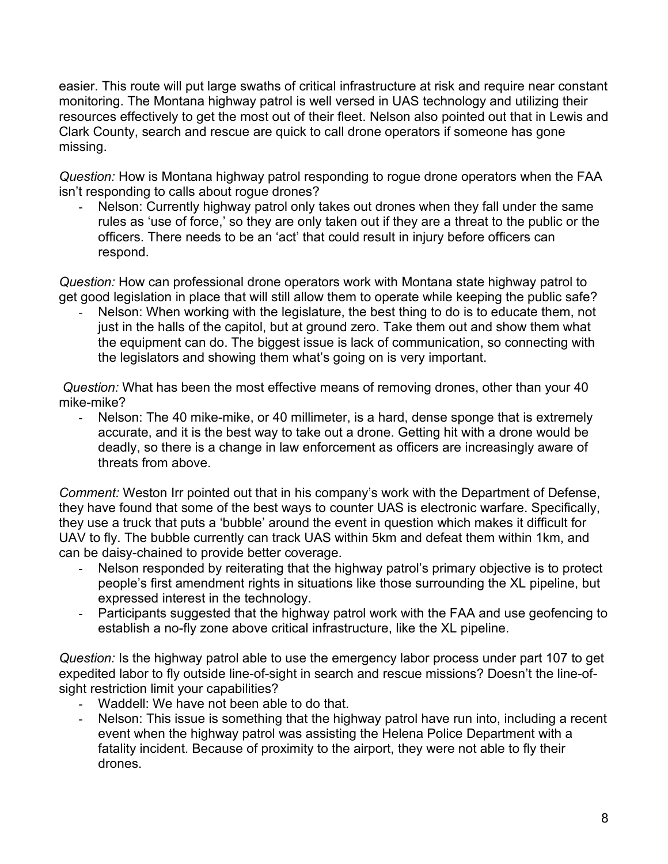easier. This route will put large swaths of critical infrastructure at risk and require near constant monitoring. The Montana highway patrol is well versed in UAS technology and utilizing their resources effectively to get the most out of their fleet. Nelson also pointed out that in Lewis and Clark County, search and rescue are quick to call drone operators if someone has gone missing.

*Question:* How is Montana highway patrol responding to rogue drone operators when the FAA isn't responding to calls about rogue drones?

Nelson: Currently highway patrol only takes out drones when they fall under the same rules as 'use of force,' so they are only taken out if they are a threat to the public or the officers. There needs to be an 'act' that could result in injury before officers can respond.

*Question:* How can professional drone operators work with Montana state highway patrol to get good legislation in place that will still allow them to operate while keeping the public safe?

Nelson: When working with the legislature, the best thing to do is to educate them, not just in the halls of the capitol, but at ground zero. Take them out and show them what the equipment can do. The biggest issue is lack of communication, so connecting with the legislators and showing them what's going on is very important.

*Question:* What has been the most effective means of removing drones, other than your 40 mike-mike?

- Nelson: The 40 mike-mike, or 40 millimeter, is a hard, dense sponge that is extremely accurate, and it is the best way to take out a drone. Getting hit with a drone would be deadly, so there is a change in law enforcement as officers are increasingly aware of threats from above.

*Comment:* Weston Irr pointed out that in his company's work with the Department of Defense, they have found that some of the best ways to counter UAS is electronic warfare. Specifically, they use a truck that puts a 'bubble' around the event in question which makes it difficult for UAV to fly. The bubble currently can track UAS within 5km and defeat them within 1km, and can be daisy-chained to provide better coverage.

- Nelson responded by reiterating that the highway patrol's primary objective is to protect people's first amendment rights in situations like those surrounding the XL pipeline, but expressed interest in the technology.
- Participants suggested that the highway patrol work with the FAA and use geofencing to establish a no-fly zone above critical infrastructure, like the XL pipeline.

*Question:* Is the highway patrol able to use the emergency labor process under part 107 to get expedited labor to fly outside line-of-sight in search and rescue missions? Doesn't the line-ofsight restriction limit your capabilities?

- Waddell: We have not been able to do that.
- Nelson: This issue is something that the highway patrol have run into, including a recent event when the highway patrol was assisting the Helena Police Department with a fatality incident. Because of proximity to the airport, they were not able to fly their drones.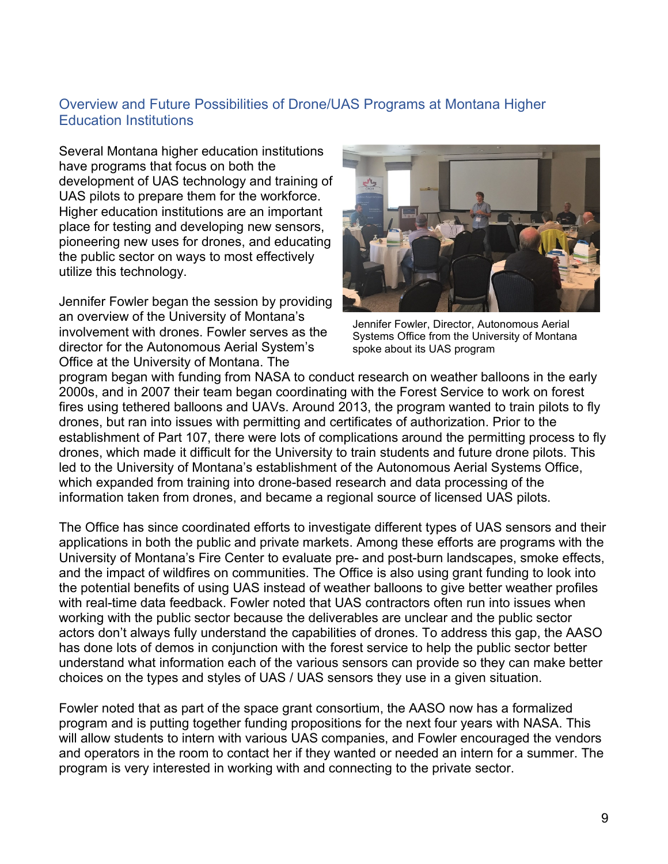### <span id="page-8-0"></span>Overview and Future Possibilities of Drone/UAS Programs at Montana Higher Education Institutions

Several Montana higher education institutions have programs that focus on both the development of UAS technology and training of UAS pilots to prepare them for the workforce. Higher education institutions are an important place for testing and developing new sensors, pioneering new uses for drones, and educating the public sector on ways to most effectively utilize this technology.

Jennifer Fowler began the session by providing an overview of the University of Montana's involvement with drones. Fowler serves as the director for the Autonomous Aerial System's Office at the University of Montana. The



Jennifer Fowler, Director, Autonomous Aerial Systems Office from the University of Montana spoke about its UAS program

program began with funding from NASA to conduct research on weather balloons in the early 2000s, and in 2007 their team began coordinating with the Forest Service to work on forest fires using tethered balloons and UAVs. Around 2013, the program wanted to train pilots to fly drones, but ran into issues with permitting and certificates of authorization. Prior to the establishment of Part 107, there were lots of complications around the permitting process to fly drones, which made it difficult for the University to train students and future drone pilots. This led to the University of Montana's establishment of the Autonomous Aerial Systems Office, which expanded from training into drone-based research and data processing of the information taken from drones, and became a regional source of licensed UAS pilots.

The Office has since coordinated efforts to investigate different types of UAS sensors and their applications in both the public and private markets. Among these efforts are programs with the University of Montana's Fire Center to evaluate pre- and post-burn landscapes, smoke effects, and the impact of wildfires on communities. The Office is also using grant funding to look into the potential benefits of using UAS instead of weather balloons to give better weather profiles with real-time data feedback. Fowler noted that UAS contractors often run into issues when working with the public sector because the deliverables are unclear and the public sector actors don't always fully understand the capabilities of drones. To address this gap, the AASO has done lots of demos in conjunction with the forest service to help the public sector better understand what information each of the various sensors can provide so they can make better choices on the types and styles of UAS / UAS sensors they use in a given situation.

Fowler noted that as part of the space grant consortium, the AASO now has a formalized program and is putting together funding propositions for the next four years with NASA. This will allow students to intern with various UAS companies, and Fowler encouraged the vendors and operators in the room to contact her if they wanted or needed an intern for a summer. The program is very interested in working with and connecting to the private sector.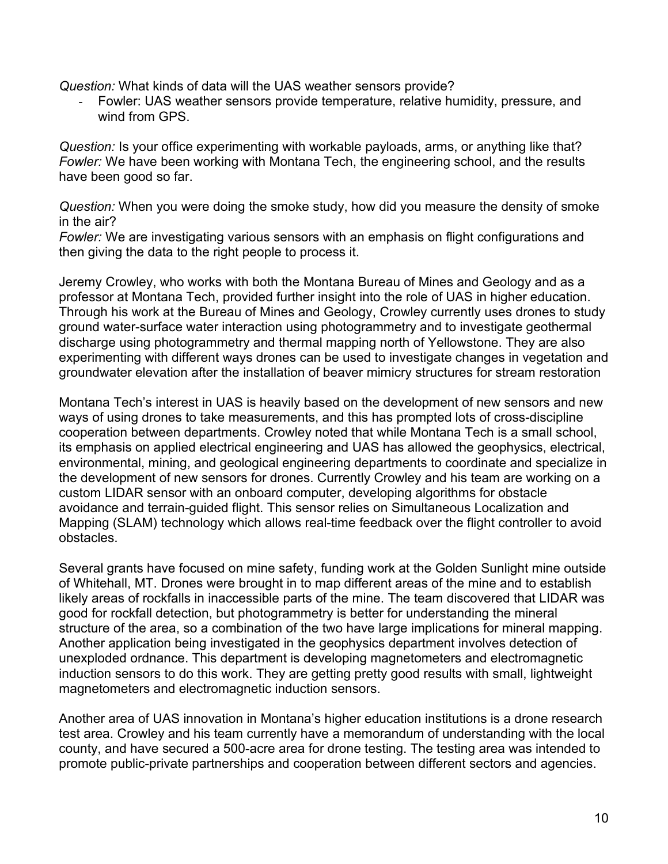*Question:* What kinds of data will the UAS weather sensors provide?

Fowler: UAS weather sensors provide temperature, relative humidity, pressure, and wind from GPS.

*Question:* Is your office experimenting with workable payloads, arms, or anything like that? *Fowler:* We have been working with Montana Tech, the engineering school, and the results have been good so far.

*Question:* When you were doing the smoke study, how did you measure the density of smoke in the air?

*Fowler:* We are investigating various sensors with an emphasis on flight configurations and then giving the data to the right people to process it.

Jeremy Crowley, who works with both the Montana Bureau of Mines and Geology and as a professor at Montana Tech, provided further insight into the role of UAS in higher education. Through his work at the Bureau of Mines and Geology, Crowley currently uses drones to study ground water-surface water interaction using photogrammetry and to investigate geothermal discharge using photogrammetry and thermal mapping north of Yellowstone. They are also experimenting with different ways drones can be used to investigate changes in vegetation and groundwater elevation after the installation of beaver mimicry structures for stream restoration

Montana Tech's interest in UAS is heavily based on the development of new sensors and new ways of using drones to take measurements, and this has prompted lots of cross-discipline cooperation between departments. Crowley noted that while Montana Tech is a small school, its emphasis on applied electrical engineering and UAS has allowed the geophysics, electrical, environmental, mining, and geological engineering departments to coordinate and specialize in the development of new sensors for drones. Currently Crowley and his team are working on a custom LIDAR sensor with an onboard computer, developing algorithms for obstacle avoidance and terrain-guided flight. This sensor relies on Simultaneous Localization and Mapping (SLAM) technology which allows real-time feedback over the flight controller to avoid obstacles.

Several grants have focused on mine safety, funding work at the Golden Sunlight mine outside of Whitehall, MT. Drones were brought in to map different areas of the mine and to establish likely areas of rockfalls in inaccessible parts of the mine. The team discovered that LIDAR was good for rockfall detection, but photogrammetry is better for understanding the mineral structure of the area, so a combination of the two have large implications for mineral mapping. Another application being investigated in the geophysics department involves detection of unexploded ordnance. This department is developing magnetometers and electromagnetic induction sensors to do this work. They are getting pretty good results with small, lightweight magnetometers and electromagnetic induction sensors.

Another area of UAS innovation in Montana's higher education institutions is a drone research test area. Crowley and his team currently have a memorandum of understanding with the local county, and have secured a 500-acre area for drone testing. The testing area was intended to promote public-private partnerships and cooperation between different sectors and agencies.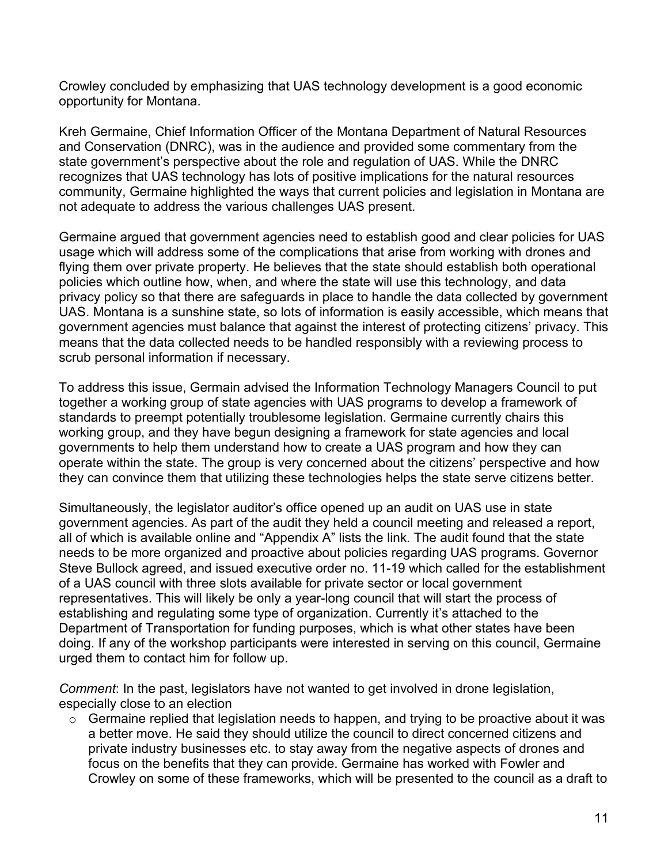Crowley concluded by emphasizing that UAS technology development is a good economic opportunity for Montana.

Kreh Germaine, Chief Information Officer of the Montana Department of Natural Resources and Conservation (DNRC), was in the audience and provided some commentary from the state government's perspective about the role and regulation of UAS. While the DNRC recognizes that UAS technology has lots of positive implications for the natural resources community, Germaine highlighted the ways that current policies and legislation in Montana are not adequate to address the various challenges UAS present.

Germaine argued that government agencies need to establish good and clear policies for UAS usage which will address some of the complications that arise from working with drones and flying them over private property. He believes that the state should establish both operational policies which outline how, when, and where the state will use this technology, and data privacy policy so that there are safeguards in place to handle the data collected by government UAS. Montana is a sunshine state, so lots of information is easily accessible, which means that government agencies must balance that against the interest of protecting citizens' privacy. This means that the data collected needs to be handled responsibly with a reviewing process to scrub personal information if necessary.

To address this issue, Germain advised the Information Technology Managers Council to put together a working group of state agencies with UAS programs to develop a framework of standards to preempt potentially troublesome legislation. Germaine currently chairs this working group, and they have begun designing a framework for state agencies and local governments to help them understand how to create a UAS program and how they can operate within the state. The group is very concerned about the citizens' perspective and how they can convince them that utilizing these technologies helps the state serve citizens better.

Simultaneously, the legislator auditor's office opened up an audit on UAS use in state government agencies. As part of the audit they held a council meeting and released a report, all of which is available online and "Appendix A" lists the link. The audit found that the state needs to be more organized and proactive about policies regarding UAS programs. Governor Steve Bullock agreed, and issued executive order no. 11-19 which called for the establishment of a UAS council with three slots available for private sector or local government representatives. This will likely be only a year-long council that will start the process of establishing and regulating some type of organization. Currently it's attached to the Department of Transportation for funding purposes, which is what other states have been doing. If any of the workshop participants were interested in serving on this council, Germaine urged them to contact him for follow up.

*Comment*: In the past, legislators have not wanted to get involved in drone legislation, especially close to an election

 $\circ$  Germaine replied that legislation needs to happen, and trying to be proactive about it was a better move. He said they should utilize the council to direct concerned citizens and private industry businesses etc. to stay away from the negative aspects of drones and focus on the benefits that they can provide. Germaine has worked with Fowler and Crowley on some of these frameworks, which will be presented to the council as a draft to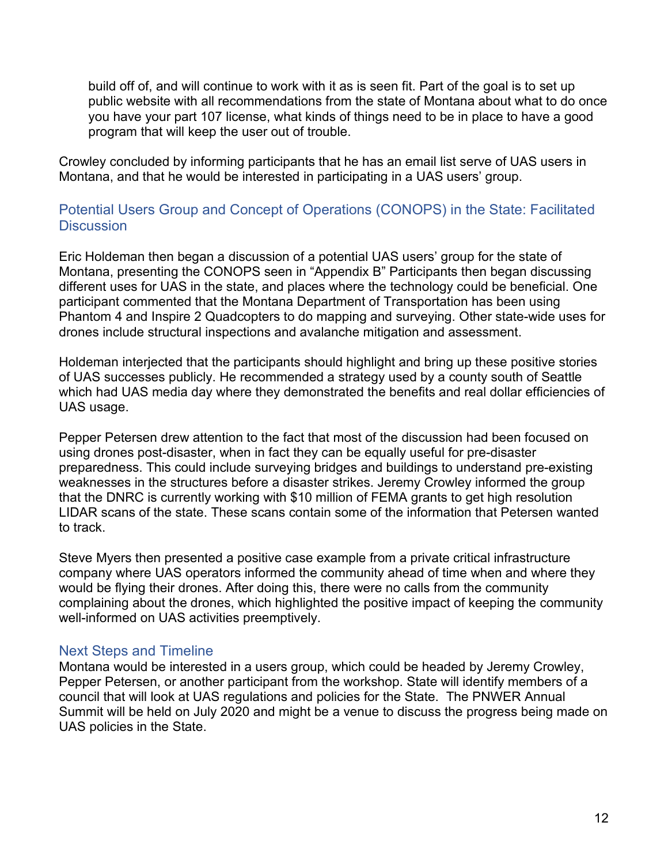build off of, and will continue to work with it as is seen fit. Part of the goal is to set up public website with all recommendations from the state of Montana about what to do once you have your part 107 license, what kinds of things need to be in place to have a good program that will keep the user out of trouble.

Crowley concluded by informing participants that he has an email list serve of UAS users in Montana, and that he would be interested in participating in a UAS users' group.

### <span id="page-11-0"></span>Potential Users Group and Concept of Operations (CONOPS) in the State: Facilitated **Discussion**

Eric Holdeman then began a discussion of a potential UAS users' group for the state of Montana, presenting the CONOPS seen in "Appendix B" Participants then began discussing different uses for UAS in the state, and places where the technology could be beneficial. One participant commented that the Montana Department of Transportation has been using Phantom 4 and Inspire 2 Quadcopters to do mapping and surveying. Other state-wide uses for drones include structural inspections and avalanche mitigation and assessment.

Holdeman interjected that the participants should highlight and bring up these positive stories of UAS successes publicly. He recommended a strategy used by a county south of Seattle which had UAS media day where they demonstrated the benefits and real dollar efficiencies of UAS usage.

Pepper Petersen drew attention to the fact that most of the discussion had been focused on using drones post-disaster, when in fact they can be equally useful for pre-disaster preparedness. This could include surveying bridges and buildings to understand pre-existing weaknesses in the structures before a disaster strikes. Jeremy Crowley informed the group that the DNRC is currently working with \$10 million of FEMA grants to get high resolution LIDAR scans of the state. These scans contain some of the information that Petersen wanted to track.

Steve Myers then presented a positive case example from a private critical infrastructure company where UAS operators informed the community ahead of time when and where they would be flying their drones. After doing this, there were no calls from the community complaining about the drones, which highlighted the positive impact of keeping the community well-informed on UAS activities preemptively.

#### <span id="page-11-1"></span>Next Steps and Timeline

Montana would be interested in a users group, which could be headed by Jeremy Crowley, Pepper Petersen, or another participant from the workshop. State will identify members of a council that will look at UAS regulations and policies for the State. The PNWER Annual Summit will be held on July 2020 and might be a venue to discuss the progress being made on UAS policies in the State.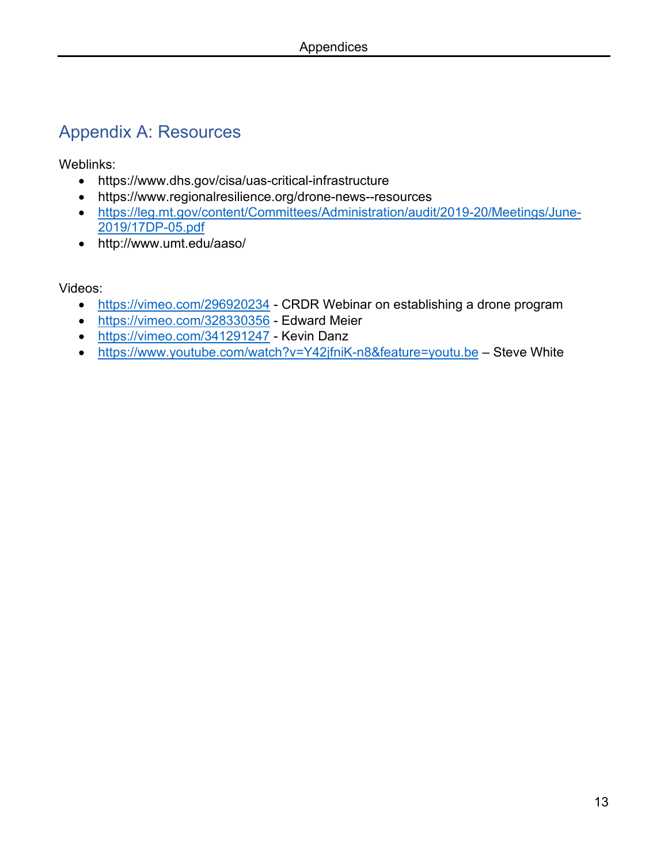# <span id="page-12-0"></span>Appendix A: Resources

Weblinks:

- https://www.dhs.gov/cisa/uas-critical-infrastructure
- https://www.regionalresilience.org/drone-news--resources
- [https://leg.mt.gov/content/Committees/Administration/audit/2019-20/Meetings/June-](https://leg.mt.gov/content/Committees/Administration/audit/2019-20/Meetings/June-2019/17DP-05.pdf)[2019/17DP-05.pdf](https://leg.mt.gov/content/Committees/Administration/audit/2019-20/Meetings/June-2019/17DP-05.pdf)
- http://www.umt.edu/aaso/

Videos:

- <https://vimeo.com/296920234> CRDR Webinar on establishing a drone program
- <https://vimeo.com/328330356> Edward Meier
- <https://vimeo.com/341291247> Kevin Danz
- <https://www.youtube.com/watch?v=Y42jfniK-n8&feature=youtu.be> Steve White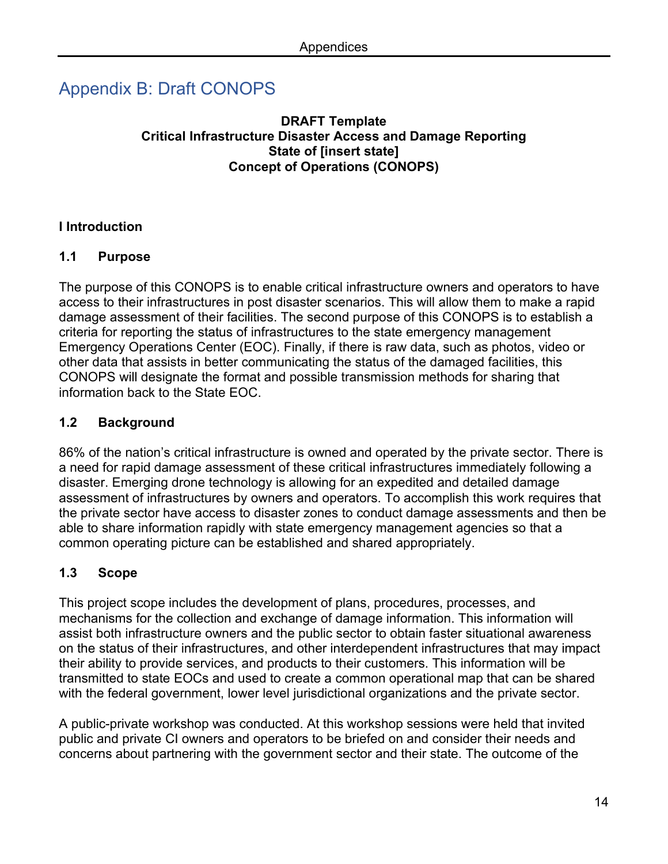# <span id="page-13-0"></span>Appendix B: Draft CONOPS

#### **DRAFT Template Critical Infrastructure Disaster Access and Damage Reporting State of [insert state] Concept of Operations (CONOPS)**

### **I Introduction**

#### **1.1 Purpose**

The purpose of this CONOPS is to enable critical infrastructure owners and operators to have access to their infrastructures in post disaster scenarios. This will allow them to make a rapid damage assessment of their facilities. The second purpose of this CONOPS is to establish a criteria for reporting the status of infrastructures to the state emergency management Emergency Operations Center (EOC). Finally, if there is raw data, such as photos, video or other data that assists in better communicating the status of the damaged facilities, this CONOPS will designate the format and possible transmission methods for sharing that information back to the State EOC.

# **1.2 Background**

86% of the nation's critical infrastructure is owned and operated by the private sector. There is a need for rapid damage assessment of these critical infrastructures immediately following a disaster. Emerging drone technology is allowing for an expedited and detailed damage assessment of infrastructures by owners and operators. To accomplish this work requires that the private sector have access to disaster zones to conduct damage assessments and then be able to share information rapidly with state emergency management agencies so that a common operating picture can be established and shared appropriately.

# **1.3 Scope**

This project scope includes the development of plans, procedures, processes, and mechanisms for the collection and exchange of damage information. This information will assist both infrastructure owners and the public sector to obtain faster situational awareness on the status of their infrastructures, and other interdependent infrastructures that may impact their ability to provide services, and products to their customers. This information will be transmitted to state EOCs and used to create a common operational map that can be shared with the federal government, lower level jurisdictional organizations and the private sector.

A public-private workshop was conducted. At this workshop sessions were held that invited public and private CI owners and operators to be briefed on and consider their needs and concerns about partnering with the government sector and their state. The outcome of the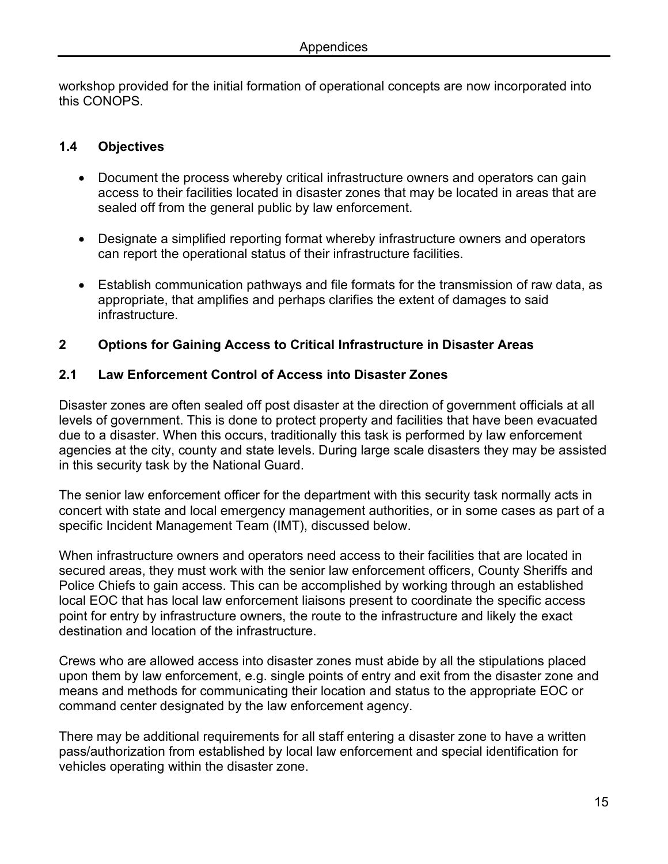workshop provided for the initial formation of operational concepts are now incorporated into this CONOPS.

#### **1.4 Objectives**

- Document the process whereby critical infrastructure owners and operators can gain access to their facilities located in disaster zones that may be located in areas that are sealed off from the general public by law enforcement.
- Designate a simplified reporting format whereby infrastructure owners and operators can report the operational status of their infrastructure facilities.
- Establish communication pathways and file formats for the transmission of raw data, as appropriate, that amplifies and perhaps clarifies the extent of damages to said infrastructure.

#### **2 Options for Gaining Access to Critical Infrastructure in Disaster Areas**

#### **2.1 Law Enforcement Control of Access into Disaster Zones**

Disaster zones are often sealed off post disaster at the direction of government officials at all levels of government. This is done to protect property and facilities that have been evacuated due to a disaster. When this occurs, traditionally this task is performed by law enforcement agencies at the city, county and state levels. During large scale disasters they may be assisted in this security task by the National Guard.

The senior law enforcement officer for the department with this security task normally acts in concert with state and local emergency management authorities, or in some cases as part of a specific Incident Management Team (IMT), discussed below.

When infrastructure owners and operators need access to their facilities that are located in secured areas, they must work with the senior law enforcement officers, County Sheriffs and Police Chiefs to gain access. This can be accomplished by working through an established local EOC that has local law enforcement liaisons present to coordinate the specific access point for entry by infrastructure owners, the route to the infrastructure and likely the exact destination and location of the infrastructure.

Crews who are allowed access into disaster zones must abide by all the stipulations placed upon them by law enforcement, e.g. single points of entry and exit from the disaster zone and means and methods for communicating their location and status to the appropriate EOC or command center designated by the law enforcement agency.

There may be additional requirements for all staff entering a disaster zone to have a written pass/authorization from established by local law enforcement and special identification for vehicles operating within the disaster zone.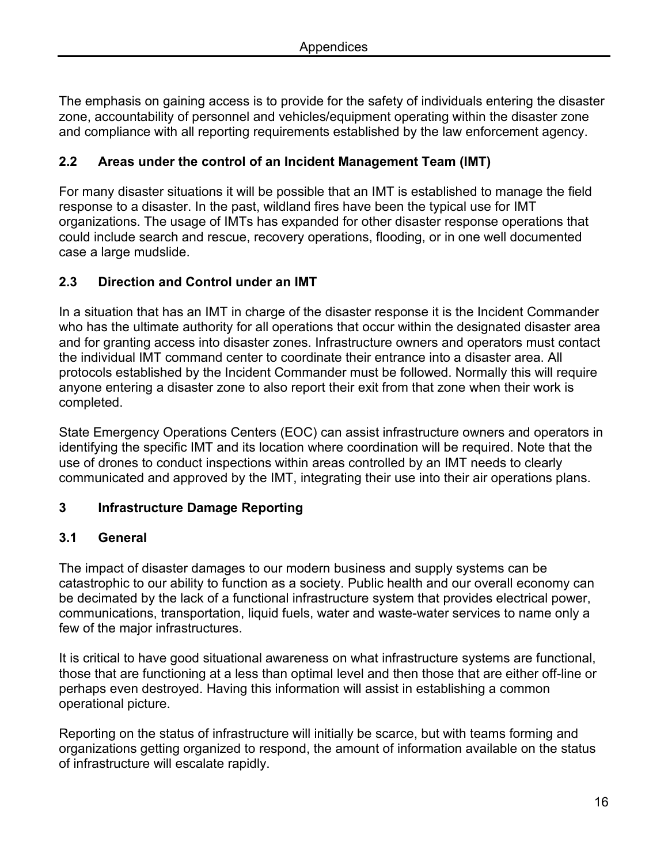The emphasis on gaining access is to provide for the safety of individuals entering the disaster zone, accountability of personnel and vehicles/equipment operating within the disaster zone and compliance with all reporting requirements established by the law enforcement agency.

# **2.2 Areas under the control of an Incident Management Team (IMT)**

For many disaster situations it will be possible that an IMT is established to manage the field response to a disaster. In the past, wildland fires have been the typical use for IMT organizations. The usage of IMTs has expanded for other disaster response operations that could include search and rescue, recovery operations, flooding, or in one well documented case a large mudslide.

# **2.3 Direction and Control under an IMT**

In a situation that has an IMT in charge of the disaster response it is the Incident Commander who has the ultimate authority for all operations that occur within the designated disaster area and for granting access into disaster zones. Infrastructure owners and operators must contact the individual IMT command center to coordinate their entrance into a disaster area. All protocols established by the Incident Commander must be followed. Normally this will require anyone entering a disaster zone to also report their exit from that zone when their work is completed.

State Emergency Operations Centers (EOC) can assist infrastructure owners and operators in identifying the specific IMT and its location where coordination will be required. Note that the use of drones to conduct inspections within areas controlled by an IMT needs to clearly communicated and approved by the IMT, integrating their use into their air operations plans.

#### **3 Infrastructure Damage Reporting**

#### **3.1 General**

The impact of disaster damages to our modern business and supply systems can be catastrophic to our ability to function as a society. Public health and our overall economy can be decimated by the lack of a functional infrastructure system that provides electrical power, communications, transportation, liquid fuels, water and waste-water services to name only a few of the major infrastructures.

It is critical to have good situational awareness on what infrastructure systems are functional, those that are functioning at a less than optimal level and then those that are either off-line or perhaps even destroyed. Having this information will assist in establishing a common operational picture.

Reporting on the status of infrastructure will initially be scarce, but with teams forming and organizations getting organized to respond, the amount of information available on the status of infrastructure will escalate rapidly.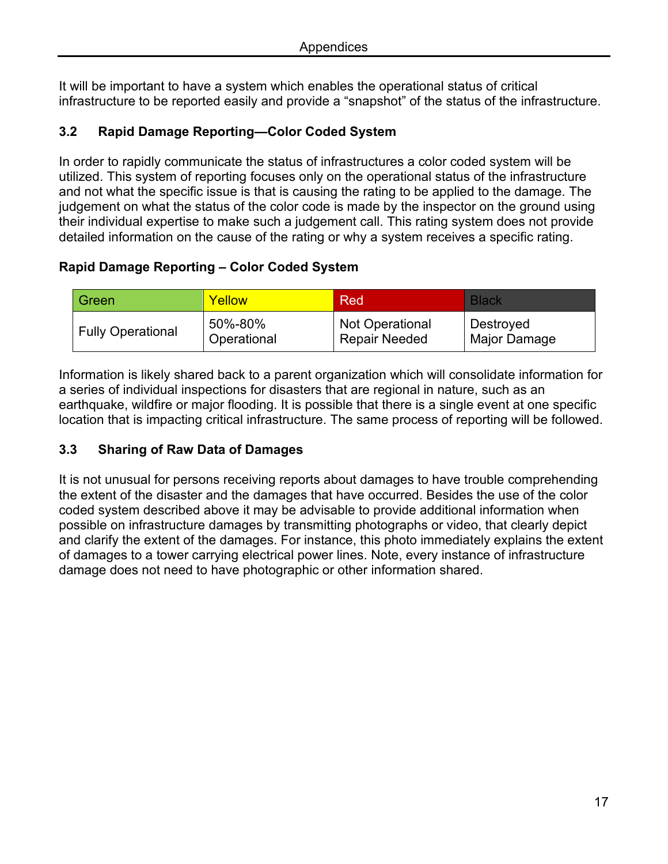It will be important to have a system which enables the operational status of critical infrastructure to be reported easily and provide a "snapshot" of the status of the infrastructure.

### **3.2 Rapid Damage Reporting—Color Coded System**

In order to rapidly communicate the status of infrastructures a color coded system will be utilized. This system of reporting focuses only on the operational status of the infrastructure and not what the specific issue is that is causing the rating to be applied to the damage. The judgement on what the status of the color code is made by the inspector on the ground using their individual expertise to make such a judgement call. This rating system does not provide detailed information on the cause of the rating or why a system receives a specific rating.

### **Rapid Damage Reporting – Color Coded System**

| Green                    | Yellow      | Red                    | <b>Black</b> |
|--------------------------|-------------|------------------------|--------------|
| <b>Fully Operational</b> | 50%-80%     | <b>Not Operational</b> | Destroyed    |
|                          | Operational | <b>Repair Needed</b>   | Major Damage |

Information is likely shared back to a parent organization which will consolidate information for a series of individual inspections for disasters that are regional in nature, such as an earthquake, wildfire or major flooding. It is possible that there is a single event at one specific location that is impacting critical infrastructure. The same process of reporting will be followed.

#### **3.3 Sharing of Raw Data of Damages**

It is not unusual for persons receiving reports about damages to have trouble comprehending the extent of the disaster and the damages that have occurred. Besides the use of the color coded system described above it may be advisable to provide additional information when possible on infrastructure damages by transmitting photographs or video, that clearly depict and clarify the extent of the damages. For instance, this photo immediately explains the extent of damages to a tower carrying electrical power lines. Note, every instance of infrastructure damage does not need to have photographic or other information shared.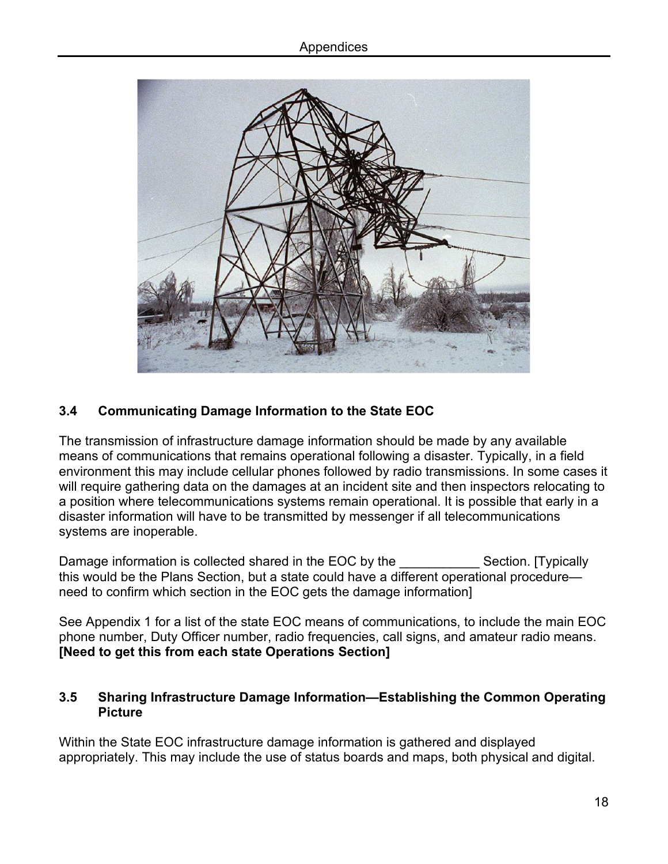

# **3.4 Communicating Damage Information to the State EOC**

The transmission of infrastructure damage information should be made by any available means of communications that remains operational following a disaster. Typically, in a field environment this may include cellular phones followed by radio transmissions. In some cases it will require gathering data on the damages at an incident site and then inspectors relocating to a position where telecommunications systems remain operational. It is possible that early in a disaster information will have to be transmitted by messenger if all telecommunications systems are inoperable.

Damage information is collected shared in the EOC by the Section. [Typically this would be the Plans Section, but a state could have a different operational procedure need to confirm which section in the EOC gets the damage information]

See Appendix 1 for a list of the state EOC means of communications, to include the main EOC phone number, Duty Officer number, radio frequencies, call signs, and amateur radio means. **[Need to get this from each state Operations Section]**

#### **3.5 Sharing Infrastructure Damage Information—Establishing the Common Operating Picture**

Within the State EOC infrastructure damage information is gathered and displayed appropriately. This may include the use of status boards and maps, both physical and digital.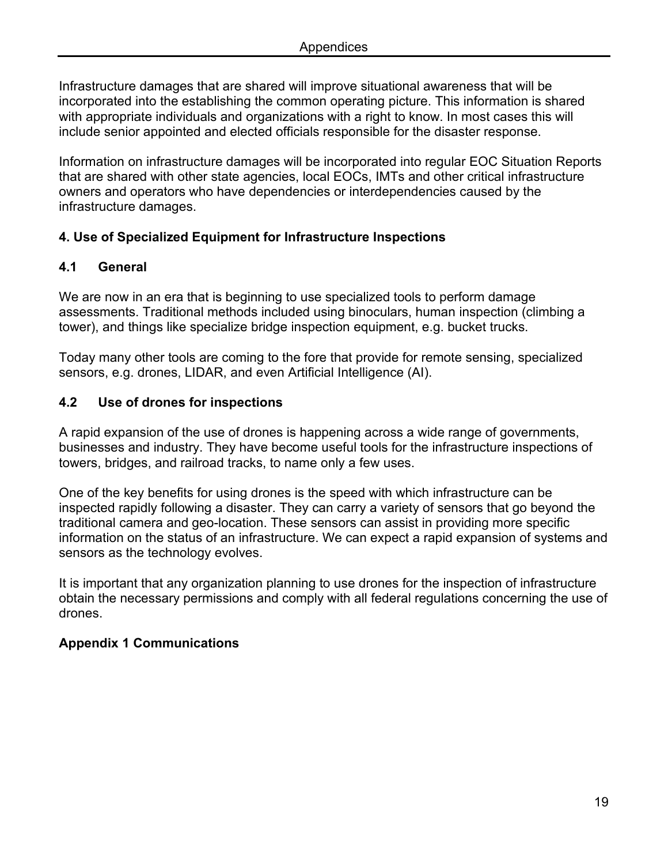Infrastructure damages that are shared will improve situational awareness that will be incorporated into the establishing the common operating picture. This information is shared with appropriate individuals and organizations with a right to know. In most cases this will include senior appointed and elected officials responsible for the disaster response.

Information on infrastructure damages will be incorporated into regular EOC Situation Reports that are shared with other state agencies, local EOCs, IMTs and other critical infrastructure owners and operators who have dependencies or interdependencies caused by the infrastructure damages.

#### **4. Use of Specialized Equipment for Infrastructure Inspections**

#### **4.1 General**

We are now in an era that is beginning to use specialized tools to perform damage assessments. Traditional methods included using binoculars, human inspection (climbing a tower), and things like specialize bridge inspection equipment, e.g. bucket trucks.

Today many other tools are coming to the fore that provide for remote sensing, specialized sensors, e.g. drones, LIDAR, and even Artificial Intelligence (AI).

#### **4.2 Use of drones for inspections**

A rapid expansion of the use of drones is happening across a wide range of governments, businesses and industry. They have become useful tools for the infrastructure inspections of towers, bridges, and railroad tracks, to name only a few uses.

One of the key benefits for using drones is the speed with which infrastructure can be inspected rapidly following a disaster. They can carry a variety of sensors that go beyond the traditional camera and geo-location. These sensors can assist in providing more specific information on the status of an infrastructure. We can expect a rapid expansion of systems and sensors as the technology evolves.

It is important that any organization planning to use drones for the inspection of infrastructure obtain the necessary permissions and comply with all federal regulations concerning the use of drones.

#### **Appendix 1 Communications**